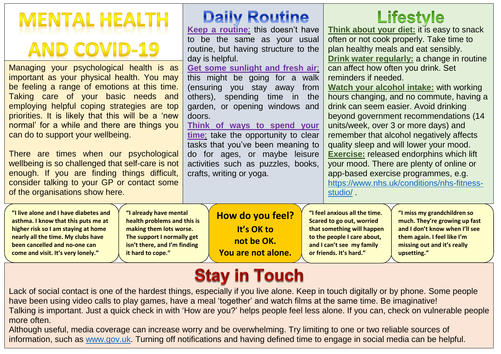| <b>MENTAL HEALTH</b><br><b>AND COVID-19</b><br>Managing your psychological health is as<br>important as your physical health. You may<br>be feeling a range of emotions at this time.<br>Taking care of your basic needs<br>and<br>employing helpful coping strategies are top<br>priorities. It is likely that this will be a 'new<br>normal' for a while and there are things you<br>can do to support your wellbeing.<br>There are times when our psychological<br>wellbeing is so challenged that self-care is not<br>enough. If you are finding things difficult,<br>consider talking to your GP or contact some<br>of the organisations show here. | <b>Daily Routine</b><br>Keep a routine: this doesn't have<br>to be the same as your usual<br>routine, but having structure to the<br>day is helpful.<br>Get some sunlight and fresh air<br>this might be going for a walk<br>(ensuring you stay away<br>from<br>others), spending time in the<br>garden, or opening windows and<br>doors.<br>Think of ways to spend your<br>time: take the opportunity to clear<br>tasks that you've been meaning to<br>do for ages, or maybe leisure<br>activities such as puzzles, books,<br>crafts, writing or yoga. | <b>Lifestyle</b><br>Think about your diet: it is easy to snack<br>often or not cook properly. Take time to<br>plan healthy meals and eat sensibly.<br>Drink water regularly: a change in routine<br>can affect how often you drink. Set<br>reminders if needed.<br><b>Watch your alcohol intake: with working</b><br>hours changing, and no commute, having a<br>drink can seem easier. Avoid drinking<br>beyond government recommendations (14<br>units/week, over 3 or more days) and<br>remember that alcohol negatively affects<br>quality sleep and will lower your mood.<br><b>Exercise:</b> released endorphins which lift<br>your mood. There are plenty of online or<br>app-based exercise programmes, e.g.<br>https://www.nhs.uk/conditions/nhs-fitness-<br>studio/. |  |
|----------------------------------------------------------------------------------------------------------------------------------------------------------------------------------------------------------------------------------------------------------------------------------------------------------------------------------------------------------------------------------------------------------------------------------------------------------------------------------------------------------------------------------------------------------------------------------------------------------------------------------------------------------|---------------------------------------------------------------------------------------------------------------------------------------------------------------------------------------------------------------------------------------------------------------------------------------------------------------------------------------------------------------------------------------------------------------------------------------------------------------------------------------------------------------------------------------------------------|--------------------------------------------------------------------------------------------------------------------------------------------------------------------------------------------------------------------------------------------------------------------------------------------------------------------------------------------------------------------------------------------------------------------------------------------------------------------------------------------------------------------------------------------------------------------------------------------------------------------------------------------------------------------------------------------------------------------------------------------------------------------------------|--|
| "I already have mental<br>"I live alone and I have diabetes and<br>health problems and this is<br>asthma. I know that this puts me at<br>higher risk so I am staying at home<br>making them lots worse.<br>nearly all the time. My clubs have<br>The support I normally get<br>isn't there, and I'm finding<br>been cancelled and no-one can<br>it hard to cope."<br>come and visit. It's very lonely."                                                                                                                                                                                                                                                  | How do you feel?<br>It's OK to<br>not be OK.<br>You are not alone.                                                                                                                                                                                                                                                                                                                                                                                                                                                                                      | "I feel anxious all the time.<br>"I miss my grandchildren so<br><b>Scared to go out, worried</b><br>much. They're growing up fast<br>and I don't know when I'll see<br>that something will happen<br>to the people I care about,<br>them again. I feel like I'm<br>and I can't see my family<br>missing out and it's really<br>or friends. It's hard."<br>upsetting."                                                                                                                                                                                                                                                                                                                                                                                                          |  |

## **Stay in Touch**

Lack of social contact is one of the hardest things, especially if you live alone. Keep in touch digitally or by phone. Some people have been using video calls to play games, have a meal 'together' and watch films at the same time. Be imaginative! Talking is important. Just a quick check in with 'How are you?' helps people feel less alone. If you can, check on vulnerable people more often.

Although useful, media coverage can increase worry and be overwhelming. Try limiting to one or two reliable sources of information, such as [www.gov.uk.](http://www.gov.uk/) Turning off notifications and having defined time to engage in social media can be helpful.